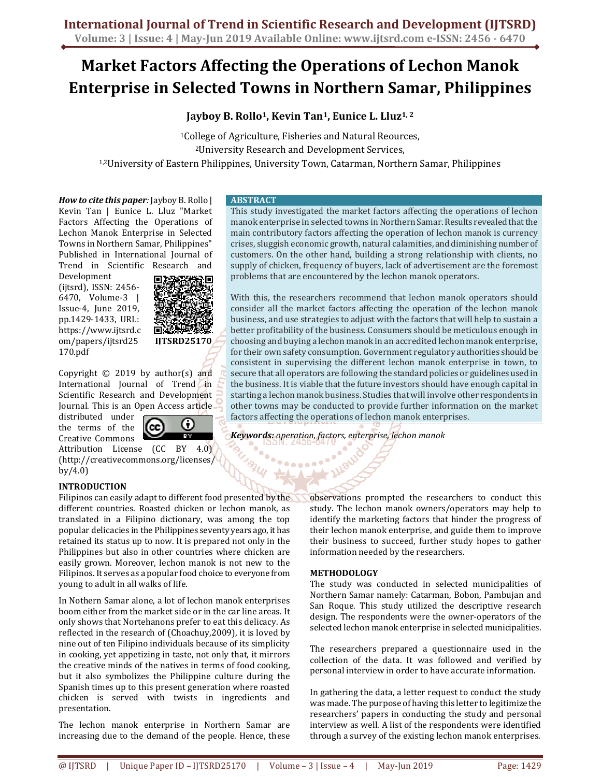## **Market Factors Affecting the Operations of Lechon Manok Enterprise in Selected Towns in Northern Samar, Philippines**

### **Jayboy B. Rollo<sup>1</sup>, Kevin Tan<sup>1</sup>, Eunice L. Lluz1, 2**

<sup>1</sup>College of Agriculture, Fisheries and Natural Reources, <sup>2</sup>University Research and Development Services, 1,2University of Eastern Philippines, University Town, Catarman, Northern Samar, Philippines

*How to cite this paper:* Jayboy B. Rollo | Kevin Tan | Eunice L. Lluz "Market Factors Affecting the Operations of Lechon Manok Enterprise in Selected Towns in Northern Samar, Philippines" Published in International Journal of Trend in Scientific Research and

Development (ijtsrd), ISSN: 2456- 6470, Volume-3 | Issue-4, June 2019, pp.1429-1433, URL: https://www.ijtsrd.c om/papers/ijtsrd25 170.pdf



Copyright © 2019 by author(s) and International Journal of Trend in Scientific Research and Development Journal. This is an Open Access article

distributed under the terms of the Creative Commons

 $\bm \Omega$ [cc] Ta T

Attribution License (CC BY 4.0) (http://creativecommons.org/licenses/ by/4.0)

#### **INTRODUCTION**

Filipinos can easily adapt to different food presented by the different countries. Roasted chicken or lechon manok, as translated in a Filipino dictionary, was among the top popular delicacies in the Philippines seventy years ago, it has retained its status up to now. It is prepared not only in the Philippines but also in other countries where chicken are easily grown. Moreover, lechon manok is not new to the Filipinos. It serves as a popular food choice to everyone from young to adult in all walks of life.

In Nothern Samar alone, a lot of lechon manok enterprises boom either from the market side or in the car line areas. It only shows that Nortehanons prefer to eat this delicacy. As reflected in the research of (Choachuy,2009), it is loved by nine out of ten Filipino individuals because of its simplicity in cooking, yet appetizing in taste, not only that, it mirrors the creative minds of the natives in terms of food cooking, but it also symbolizes the Philippine culture during the Spanish times up to this present generation where roasted chicken is served with twists in ingredients and presentation.

The lechon manok enterprise in Northern Samar are increasing due to the demand of the people. Hence, these

#### **ABSTRACT**

This study investigated the market factors affecting the operations of lechon manok enterprise in selected towns in Northern Samar. Results revealed that the main contributory factors affecting the operation of lechon manok is currency crises, sluggish economic growth, natural calamities, and diminishing number of customers. On the other hand, building a strong relationship with clients, no supply of chicken, frequency of buyers, lack of advertisement are the foremost problems that are encountered by the lechon manok operators.

With this, the researchers recommend that lechon manok operators should consider all the market factors affecting the operation of the lechon manok business, and use strategies to adjust with the factors that will help to sustain a better profitability of the business. Consumers should be meticulous enough in choosing and buying a lechon manok in an accredited lechon manok enterprise, for their own safety consumption. Government regulatory authorities should be consistent in supervising the different lechon manok enterprise in town, to secure that all operators are following the standard policies or guidelines used in the business. It is viable that the future investors should have enough capital in starting a lechon manok business. Studies that will involve other respondents in other towns may be conducted to provide further information on the market factors affecting the operations of lechon manok enterprises.

*Keywords: operation, factors, enterprise, lechon manok* 

.......

observations prompted the researchers to conduct this study. The lechon manok owners/operators may help to identify the marketing factors that hinder the progress of their lechon manok enterprise, and guide them to improve their business to succeed, further study hopes to gather information needed by the researchers.

#### **METHODOLOGY**

The study was conducted in selected municipalities of Northern Samar namely: Catarman, Bobon, Pambujan and San Roque. This study utilized the descriptive research design. The respondents were the owner-operators of the selected lechon manok enterprise in selected municipalities.

The researchers prepared a questionnaire used in the collection of the data. It was followed and verified by personal interview in order to have accurate information.

In gathering the data, a letter request to conduct the study was made. The purpose of having this letter to legitimize the researchers' papers in conducting the study and personal interview as well. A list of the respondents were identified through a survey of the existing lechon manok enterprises.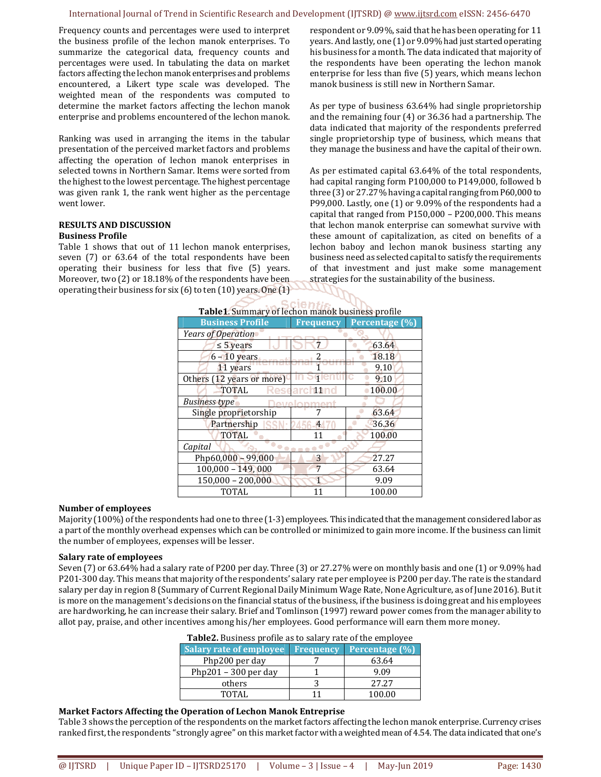Frequency counts and percentages were used to interpret the business profile of the lechon manok enterprises. To summarize the categorical data, frequency counts and percentages were used. In tabulating the data on market factors affecting the lechon manok enterprises and problems encountered, a Likert type scale was developed. The weighted mean of the respondents was computed to determine the market factors affecting the lechon manok enterprise and problems encountered of the lechon manok.

Ranking was used in arranging the items in the tabular presentation of the perceived market factors and problems affecting the operation of lechon manok enterprises in selected towns in Northern Samar. Items were sorted from the highest to the lowest percentage. The highest percentage was given rank 1, the rank went higher as the percentage went lower.

#### **RESULTS AND DISCUSSION Business Profile**

Table 1 shows that out of 11 lechon manok enterprises, seven (7) or 63.64 of the total respondents have been operating their business for less that five (5) years. Moreover, two (2) or 18.18% of the respondents have been operating their business for six (6) to ten (10) years. One (1) respondent or 9.09%, said that he has been operating for 11 years. And lastly, one (1) or 9.09% had just started operating his business for a month. The data indicated that majority of the respondents have been operating the lechon manok enterprise for less than five (5) years, which means lechon manok business is still new in Northern Samar.

As per type of business 63.64% had single proprietorship and the remaining four (4) or 36.36 had a partnership. The data indicated that majority of the respondents preferred single proprietorship type of business, which means that they manage the business and have the capital of their own.

As per estimated capital 63.64% of the total respondents, had capital ranging form P100,000 to P149,000, followed b three (3) or 27.27% having a capital ranging from P60,000 to P99,000. Lastly, one (1) or 9.09% of the respondents had a capital that ranged from P150,000 – P200,000. This means that lechon manok enterprise can somewhat survive with these amount of capitalization, as cited on benefits of a lechon baboy and lechon manok business starting any business need as selected capital to satisfy the requirements of that investment and just make some management strategies for the sustainability of the business.

| <b>Table1.</b> Summary of lechon manok business profile |                  |                |  |  |  |
|---------------------------------------------------------|------------------|----------------|--|--|--|
| <b>Business Profile</b>                                 | <b>Frequency</b> | Percentage (%) |  |  |  |
| Years of Operation                                      |                  |                |  |  |  |
| $\leq$ 5 years                                          |                  | 63.64          |  |  |  |
| $6 - 10$ years                                          |                  | 18.18          |  |  |  |
| 11 years                                                |                  | 9.10           |  |  |  |
| Others (12 years or more)                               |                  | 9.10           |  |  |  |
| <b>TOTAL</b>                                            | arch11nd         | 100.00         |  |  |  |
| <b>Business type</b><br>امید                            |                  |                |  |  |  |
| Single proprietorship                                   |                  | 63.64          |  |  |  |
| Partnership                                             | 4                | 36.36          |  |  |  |
| <b>TOTAL</b>                                            | 11               | 100.00         |  |  |  |
| Capital                                                 |                  |                |  |  |  |
| $Php60,000 - 99,000$                                    | 3                | 27.27          |  |  |  |
| $100,000 - 149,000$                                     |                  | 63.64          |  |  |  |
| $150,000 - 200,000$                                     | $\mathbf{1}$     | 9.09           |  |  |  |
| TOTAL                                                   |                  | 100.00         |  |  |  |

| Table1. Summary of lechon manok business profile |  |  |
|--------------------------------------------------|--|--|
|                                                  |  |  |

#### **Number of employees**

Majority (100%) of the respondents had one to three (1-3) employees. This indicated that the management considered labor as a part of the monthly overhead expenses which can be controlled or minimized to gain more income. If the business can limit the number of employees, expenses will be lesser.

#### **Salary rate of employees**

Seven (7) or 63.64% had a salary rate of P200 per day. Three (3) or 27.27% were on monthly basis and one (1) or 9.09% had P201-300 day. This means that majority of the respondents' salary rate per employee is P200 per day. The rate is the standard salary per day in region 8 (Summary of Current Regional Daily Minimum Wage Rate, None Agriculture, as of June 2016). But it is more on the management's decisions on the financial status of the business, if the business is doing great and his employees are hardworking, he can increase their salary. Brief and Tomlinson (1997) reward power comes from the manager ability to allot pay, praise, and other incentives among his/her employees. Good performance will earn them more money.

| <b>Table2.</b> Business profile as to salary rate of the employee |  |  |
|-------------------------------------------------------------------|--|--|
|                                                                   |  |  |

| <b>Salary rate of employee</b> | <b>Frequency</b> | Percentage (%) |
|--------------------------------|------------------|----------------|
| Php200 per day                 |                  | 63.64          |
| Php201 - 300 per day           |                  | 9.09           |
| others                         |                  | 27.27          |
| TOTAL                          |                  | 100.00         |

#### **Market Factors Affecting the Operation of Lechon Manok Entreprise**

Table 3 shows the perception of the respondents on the market factors affecting the lechon manok enterprise. Currency crises ranked first, the respondents "strongly agree" on this market factor with a weighted mean of 4.54. The data indicated that one's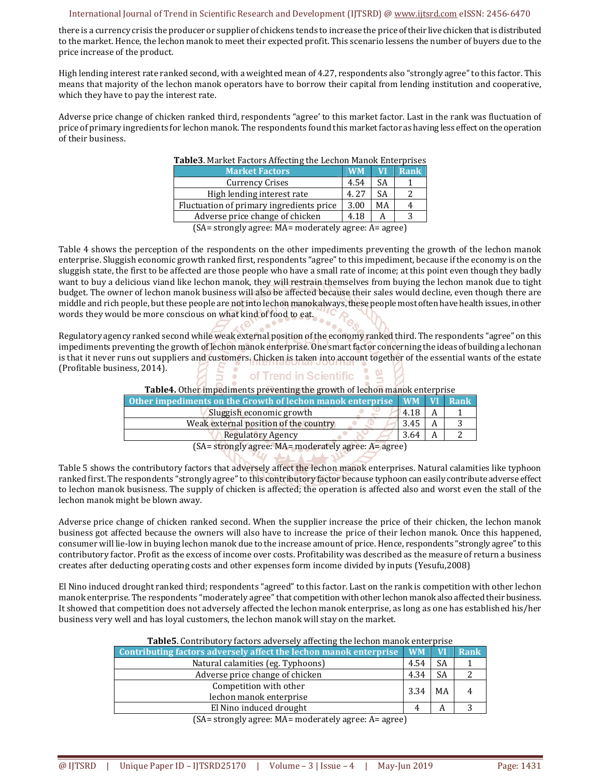there is a currency crisis the producer or supplier of chickens tends to increase the price of their live chicken that is distributed to the market. Hence, the lechon manok to meet their expected profit. This scenario lessens the number of buyers due to the price increase of the product.

High lending interest rate ranked second, with a weighted mean of 4.27, respondents also "strongly agree" to this factor. This means that majority of the lechon manok operators have to borrow their capital from lending institution and cooperative, which they have to pay the interest rate.

Adverse price change of chicken ranked third, respondents "agree' to this market factor. Last in the rank was fluctuation of price of primary ingredients for lechon manok. The respondents found this market factor as having less effect on the operation of their business.

| <b>Table3</b> . Market Factors Affecting the Lechon Manok Enterprises                                                                                                                                                                                                                                                                                                          |           |    |             |
|--------------------------------------------------------------------------------------------------------------------------------------------------------------------------------------------------------------------------------------------------------------------------------------------------------------------------------------------------------------------------------|-----------|----|-------------|
| <b>Market Factors</b>                                                                                                                                                                                                                                                                                                                                                          | <b>WM</b> | VI | <b>Rank</b> |
| <b>Currency Crises</b>                                                                                                                                                                                                                                                                                                                                                         | 4.54      | SA |             |
| High lending interest rate                                                                                                                                                                                                                                                                                                                                                     | 4.27      | SА | っ           |
| Fluctuation of primary ingredients price                                                                                                                                                                                                                                                                                                                                       | 3.00      | МA |             |
| Adverse price change of chicken                                                                                                                                                                                                                                                                                                                                                | 4.18      | А  | ς           |
| $(C_1 - \epsilon)$ at $\epsilon$ and $\epsilon$ and $\epsilon$ and $\epsilon$ and $\epsilon$ and $\epsilon$ and $\epsilon$ and $\epsilon$ and $\epsilon$ and $\epsilon$ and $\epsilon$ and $\epsilon$ and $\epsilon$ and $\epsilon$ and $\epsilon$ and $\epsilon$ and $\epsilon$ and $\epsilon$ and $\epsilon$ and $\epsilon$ and $\epsilon$ and $\epsilon$ and $\epsilon$ and |           |    |             |

#### **Table3**. Market Factors Affecting the Lechon Manok Enterprises

(SA= strongly agree: MA= moderately agree: A= agree)

Table 4 shows the perception of the respondents on the other impediments preventing the growth of the lechon manok enterprise. Sluggish economic growth ranked first, respondents "agree" to this impediment, because if the economy is on the sluggish state, the first to be affected are those people who have a small rate of income; at this point even though they badly want to buy a delicious viand like lechon manok, they will restrain themselves from buying the lechon manok due to tight budget. The owner of lechon manok business will also be affected because their sales would decline, even though there are middle and rich people, but these people are not into lechon manok always, these people most often have health issues, in other words they would be more conscious on what kind of food to eat.

Regulatory agency ranked second while weak external position of the economy ranked third. The respondents "agree" on this impediments preventing the growth of lechon manok enterprise. One smart factor concerning the ideas of building a lechonan is that it never runs out suppliers and customers. Chicken is taken into account together of the essential wants of the estate (Profitable business, 2014).

#### of Trend in Scientific • **COLLEGE**

**Table4.** Other impediments preventing the growth of lechon manok enterprise

| <b>Other impediments on the Growth of lechon manok enterprise</b> WM VI Rank |      |  |
|------------------------------------------------------------------------------|------|--|
| Sluggish economic growth                                                     | 4.18 |  |
| Weak external position of the country                                        | 3.45 |  |
| <b>Regulatory Agency</b>                                                     | 3.64 |  |
| $\epsilon$ $\alpha$                                                          |      |  |

(SA= strongly agree: MA= moderately agree: A= agree)

Table 5 shows the contributory factors that adversely affect the lechon manok enterprises. Natural calamities like typhoon ranked first. The respondents "strongly agree" to this contributory factor because typhoon can easily contribute adverse effect to lechon manok busisness. The supply of chicken is affected; the operation is affected also and worst even the stall of the lechon manok might be blown away.

Adverse price change of chicken ranked second. When the supplier increase the price of their chicken, the lechon manok business got affected because the owners will also have to increase the price of their lechon manok. Once this happened, consumer will lie-low in buying lechon manok due to the increase amount of price. Hence, respondents "strongly agree" to this contributory factor. Profit as the excess of income over costs. Profitability was described as the measure of return a business creates after deducting operating costs and other expenses form income divided by inputs (Yesufu,2008)

El Nino induced drought ranked third; respondents "agreed" to this factor. Last on the rank is competition with other lechon manok enterprise. The respondents "moderately agree" that competition with other lechon manok also affected their business. It showed that competition does not adversely affected the lechon manok enterprise, as long as one has established his/her business very well and has loyal customers, the lechon manok will stay on the market.

| <b>Table5.</b> Contributory factors adversely affecting the lechon manok enterprise |      |           |      |
|-------------------------------------------------------------------------------------|------|-----------|------|
| Contributing factors adversely affect the lechon manok enterprise WM                |      | <b>VI</b> | Rank |
| Natural calamities (eg. Typhoons)                                                   | 4.54 | <b>SA</b> |      |
| Adverse price change of chicken                                                     | 4.34 | SA        |      |
| Competition with other<br>lechon manok enterprise                                   | 3.34 | MA        |      |
| El Nino induced drought                                                             |      | A         |      |

(SA= strongly agree: MA= moderately agree: A= agree)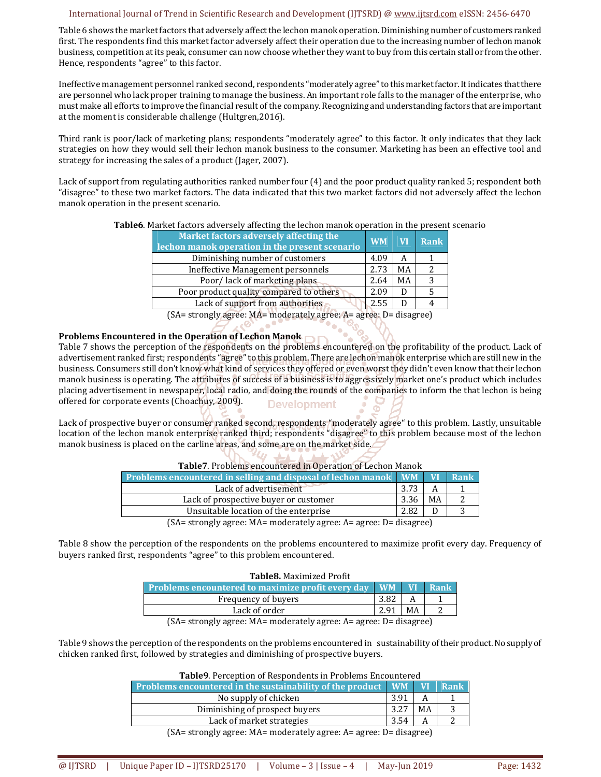Table 6 shows the market factors that adversely affect the lechon manok operation. Diminishing number of customers ranked first. The respondents find this market factor adversely affect their operation due to the increasing number of lechon manok business, competition at its peak, consumer can now choose whether they want to buy from this certain stall or from the other. Hence, respondents "agree" to this factor.

Ineffective management personnel ranked second, respondents "moderately agree" to this market factor. It indicates that there are personnel who lack proper training to manage the business. An important role falls to the manager of the enterprise, who must make all efforts to improve the financial result of the company. Recognizing and understanding factors that are important at the moment is considerable challenge (Hultgren,2016).

Third rank is poor/lack of marketing plans; respondents "moderately agree" to this factor. It only indicates that they lack strategies on how they would sell their lechon manok business to the consumer. Marketing has been an effective tool and strategy for increasing the sales of a product (Jager, 2007).

Lack of support from regulating authorities ranked number four (4) and the poor product quality ranked 5; respondent both "disagree" to these two market factors. The data indicated that this two market factors did not adversely affect the lechon manok operation in the present scenario.

| <b>Table6</b> . Market factors adversely affecting the lechon manok operation in the present scenario |  |  |  |  |  |  |
|-------------------------------------------------------------------------------------------------------|--|--|--|--|--|--|
|                                                                                                       |  |  |  |  |  |  |

| Market factors adversely affecting the<br>lechon manok operation in the present scenario | <b>WM</b>          | <b>VI</b> | Rank |
|------------------------------------------------------------------------------------------|--------------------|-----------|------|
| Diminishing number of customers                                                          | 4.09               | А         |      |
| Ineffective Management personnels                                                        | 2.73               | МA        |      |
| Poor/lack of marketing plans                                                             | 2.64               | МA        |      |
| Poor product quality compared to others                                                  | 2.09               | D         |      |
| Lack of support from authorities                                                         | 2.55               |           |      |
| $\overline{C}$                                                                           | <b>VEND BULLET</b> |           |      |

(SA= strongly agree: MA= moderately agree: A= agree: D= disagree)

**CONTROL** 

70.

### **Problems Encountered in the Operation of Lechon Manok**

Table 7 shows the perception of the respondents on the problems encountered on the profitability of the product. Lack of advertisement ranked first; respondents "agree" to this problem. There are lechon manok enterprise which are still new in the business. Consumers still don't know what kind of services they offered or even worst they didn't even know that their lechon manok business is operating. The attributes of success of a business is to aggressively market one's product which includes placing advertisement in newspaper, local radio, and doing the rounds of the companies to inform the that lechon is being offered for corporate events (Choachuy, 2009). **Development** 

Lack of prospective buyer or consumer ranked second, respondents "moderately agree" to this problem. Lastly, unsuitable location of the lechon manok enterprise ranked third; respondents "disagree" to this problem because most of the lechon manok business is placed on the carline areas, and some are on the market side.

| <b>Table</b> 7. Problems encountered in Operation or Lechon Manok        |      |    |      |  |
|--------------------------------------------------------------------------|------|----|------|--|
| Problems encountered in selling and disposal of lechon manok WM VI       |      |    | Rank |  |
| Lack of advertisement                                                    | 3.73 |    |      |  |
| Lack of prospective buyer or customer                                    | 3.36 | MA |      |  |
| Unsuitable location of the enterprise                                    | 2.82 |    |      |  |
| $(SA = \{strongly agree: MA = moderately agree: A = agree: D = disease)$ |      |    |      |  |

# **Table7**. Problems encountered in Operation of Lechon Manok

(SA= strongly agree: MA= moderately agree: A= agree: D= disagree)

Table 8 show the perception of the respondents on the problems encountered to maximize profit every day. Frequency of buyers ranked first, respondents "agree" to this problem encountered.

| <b>Table8.</b> Maximized Profit                               |      |    |      |  |  |
|---------------------------------------------------------------|------|----|------|--|--|
| <b>Problems encountered to maximize profit every day   WM</b> |      | W  | Rank |  |  |
| Frequency of buyers                                           | 3.82 |    |      |  |  |
| Lack of order                                                 | 2.91 | МA |      |  |  |
|                                                               |      |    |      |  |  |

(SA= strongly agree: MA= moderately agree: A= agree: D= disagree)

Table 9 shows the perception of the respondents on the problems encountered in sustainability of their product. No supply of chicken ranked first, followed by strategies and diminishing of prospective buyers.

| <b>Problems encountered in the sustainability of the product <math>\mathbf{[WM]}</math> VI</b>                                                                                                                                                                                                                                                                                            |      |    | $\parallel$ Rank |  |  |
|-------------------------------------------------------------------------------------------------------------------------------------------------------------------------------------------------------------------------------------------------------------------------------------------------------------------------------------------------------------------------------------------|------|----|------------------|--|--|
| No supply of chicken                                                                                                                                                                                                                                                                                                                                                                      | 3.91 |    |                  |  |  |
| Diminishing of prospect buyers                                                                                                                                                                                                                                                                                                                                                            | 3.27 | MA |                  |  |  |
| Lack of market strategies                                                                                                                                                                                                                                                                                                                                                                 | 3.54 |    |                  |  |  |
| $(S_A - \frac{1}{2}S_A - \frac{1}{2}S_A - \frac{1}{2}S_A - \frac{1}{2}S_A - \frac{1}{2}S_A - \frac{1}{2}S_A - \frac{1}{2}S_A - \frac{1}{2}S_A - \frac{1}{2}S_A - \frac{1}{2}S_A - \frac{1}{2}S_A - \frac{1}{2}S_A - \frac{1}{2}S_A - \frac{1}{2}S_A - \frac{1}{2}S_A - \frac{1}{2}S_A - \frac{1}{2}S_A - \frac{1}{2}S_A - \frac{1}{2}S_A - \frac{1}{2}S_A - \frac{1}{2}S_A - \frac{1}{2}$ |      |    |                  |  |  |

(SA= strongly agree: MA= moderately agree: A= agree: D= disagree)